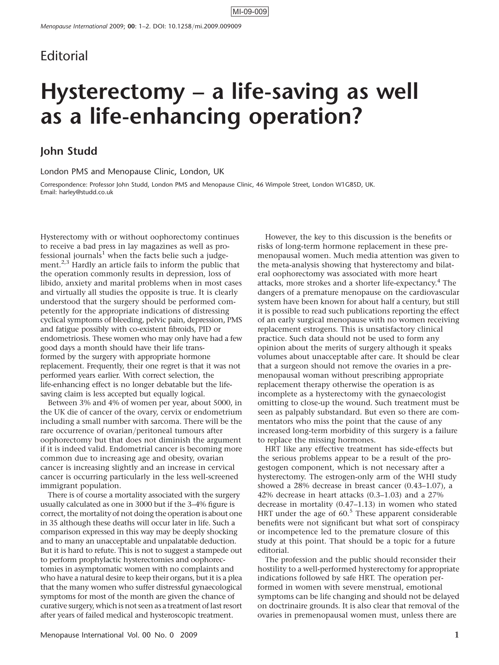### **Editorial**

# Hysterectomy – a life-saving as well as a life-enhancing operation?

#### John Studd

London PMS and Menopause Clinic, London, UK

Correspondence: Professor John Studd, London PMS and Menopause Clinic, 46 Wimpole Street, London W1G8SD, UK. Email: harley@studd.co.uk

Hysterectomy with or without oophorectomy continues to receive a bad press in lay magazines as well as professional journals<sup>1</sup> when the facts belie such a judgement. $2,3$  Hardly an article fails to inform the public that the operation commonly results in depression, loss of libido, anxiety and marital problems when in most cases and virtually all studies the opposite is true. It is clearly understood that the surgery should be performed competently for the appropriate indications of distressing cyclical symptoms of bleeding, pelvic pain, depression, PMS and fatigue possibly with co-existent fibroids, PID or endometriosis. These women who may only have had a few good days a month should have their life transformed by the surgery with appropriate hormone replacement. Frequently, their one regret is that it was not performed years earlier. With correct selection, the life-enhancing effect is no longer debatable but the lifesaving claim is less accepted but equally logical.

Between 3% and 4% of women per year, about 5000, in the UK die of cancer of the ovary, cervix or endometrium including a small number with sarcoma. There will be the rare occurrence of ovarian/peritoneal tumours after oophorectomy but that does not diminish the argument if it is indeed valid. Endometrial cancer is becoming more common due to increasing age and obesity, ovarian cancer is increasing slightly and an increase in cervical cancer is occurring particularly in the less well-screened immigrant population.

There is of course a mortality associated with the surgery usually calculated as one in 3000 but if the 3–4% figure is correct, the mortality of not doing the operation is about one in 35 although these deaths will occur later in life. Such a comparison expressed in this way may be deeply shocking and to many an unacceptable and unpalatable deduction. But it is hard to refute. This is not to suggest a stampede out to perform prophylactic hysterectomies and oophorectomies in asymptomatic women with no complaints and who have a natural desire to keep their organs, but it is a plea that the many women who suffer distressful gynaecological symptoms for most of the month are given the chance of curative surgery, which is not seen as a treatment of last resort after years of failed medical and hysteroscopic treatment.

However, the key to this discussion is the benefits or risks of long-term hormone replacement in these premenopausal women. Much media attention was given to the meta-analysis showing that hysterectomy and bilateral oophorectomy was associated with more heart attacks, more strokes and a shorter life-expectancy.<sup>4</sup> The dangers of a premature menopause on the cardiovascular system have been known for about half a century, but still it is possible to read such publications reporting the effect of an early surgical menopause with no women receiving replacement estrogens. This is unsatisfactory clinical practice. Such data should not be used to form any opinion about the merits of surgery although it speaks volumes about unacceptable after care. It should be clear that a surgeon should not remove the ovaries in a premenopausal woman without prescribing appropriate replacement therapy otherwise the operation is as incomplete as a hysterectomy with the gynaecologist omitting to close-up the wound. Such treatment must be seen as palpably substandard. But even so there are commentators who miss the point that the cause of any increased long-term morbidity of this surgery is a failure to replace the missing hormones.

HRT like any effective treatment has side-effects but the serious problems appear to be a result of the progestogen component, which is not necessary after a hysterectomy. The estrogen-only arm of the WHI study showed a 28% decrease in breast cancer (0.43–1.07), a 42% decrease in heart attacks (0.3–1.03) and a 27% decrease in mortality (0.47–1.13) in women who stated HRT under the age of  $60<sup>5</sup>$  These apparent considerable benefits were not significant but what sort of conspiracy or incompetence led to the premature closure of this study at this point. That should be a topic for a future editorial.

The profession and the public should reconsider their hostility to a well-performed hysterectomy for appropriate indications followed by safe HRT. The operation performed in women with severe menstrual, emotional symptoms can be life changing and should not be delayed on doctrinaire grounds. It is also clear that removal of the ovaries in premenopausal women must, unless there are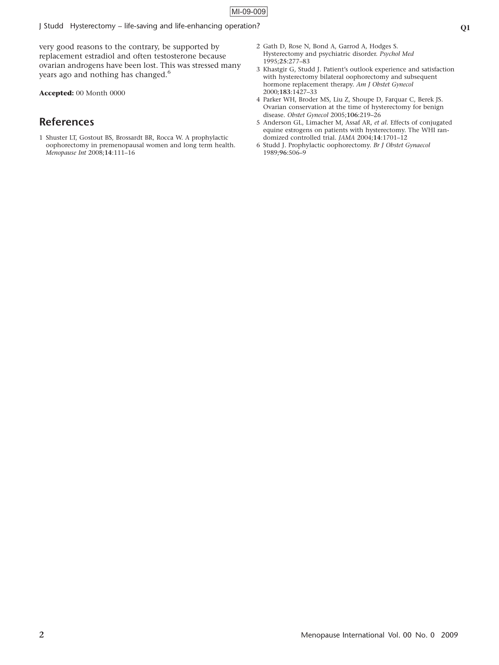very good reasons to the contrary, be supported by replacement estradiol and often testosterone because ovarian androgens have been lost. This was stressed many years ago and nothing has changed.<sup>6</sup>

Accepted: 00 Month 0000

#### References

1 Shuster LT, Gostout BS, Brossardt BR, Rocca W. A prophylactic oophorectomy in premenopausal women and long term health. Menopause Int 2008;14:111–16

- 2 Gath D, Rose N, Bond A, Garrod A, Hodges S. Hysterectomy and psychiatric disorder. Psychol Med 1995;25:277–83
- 3 Khastgir G, Studd J. Patient's outlook experience and satisfaction with hysterectomy bilateral oophorectomy and subsequent hormone replacement therapy. Am J Obstet Gynecol 2000;183:1427–33
- 4 Parker WH, Broder MS, Liu Z, Shoupe D, Farquar C, Berek JS. Ovarian conservation at the time of hysterectomy for benign disease. Obstet Gynecol 2005;106:219–26
- 5 Anderson GL, Limacher M, Assaf AR, et al. Effects of conjugated equine estrogens on patients with hysterectomy. The WHI randomized controlled trial. JAMA 2004;14:1701–12
- 6 Studd J. Prophylactic oophorectomy. Br J Obstet Gynaecol 1989;96:506–9